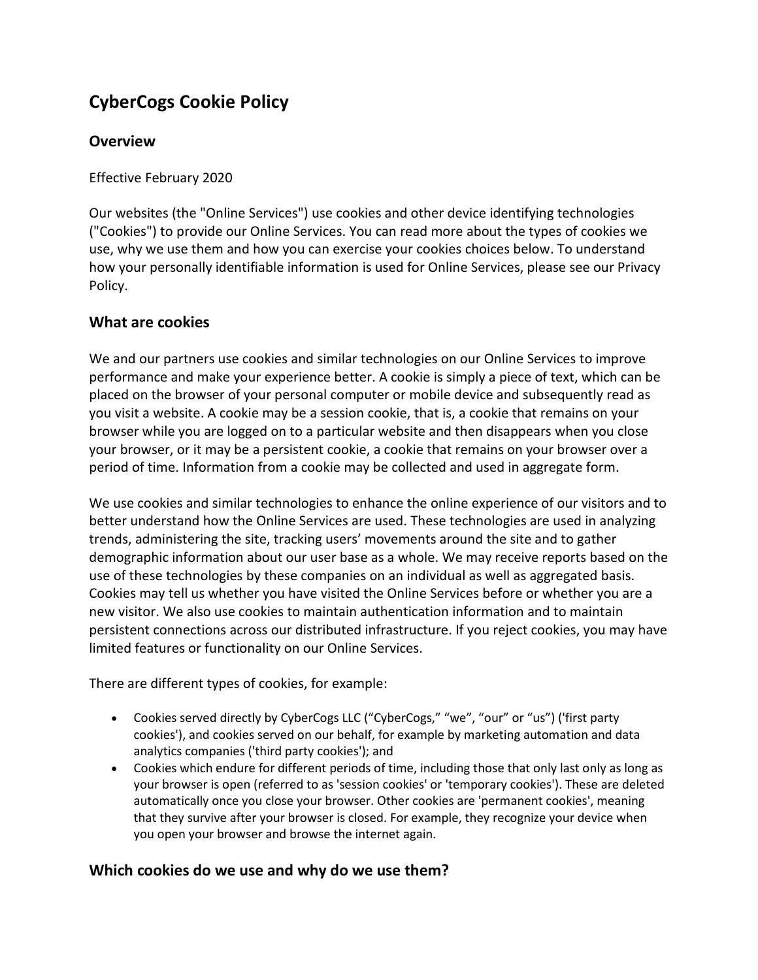# **CyberCogs Cookie Policy**

# **Overview**

Effective February 2020

Our websites (the "Online Services") use cookies and other device identifying technologies ("Cookies") to provide our Online Services. You can read more about the types of cookies we use, why we use them and how you can exercise your cookies choices below. To understand how your personally identifiable information is used for Online Services, please see our Privacy Policy.

# **What are cookies**

We and our partners use cookies and similar technologies on our Online Services to improve performance and make your experience better. A cookie is simply a piece of text, which can be placed on the browser of your personal computer or mobile device and subsequently read as you visit a website. A cookie may be a session cookie, that is, a cookie that remains on your browser while you are logged on to a particular website and then disappears when you close your browser, or it may be a persistent cookie, a cookie that remains on your browser over a period of time. Information from a cookie may be collected and used in aggregate form.

We use cookies and similar technologies to enhance the online experience of our visitors and to better understand how the Online Services are used. These technologies are used in analyzing trends, administering the site, tracking users' movements around the site and to gather demographic information about our user base as a whole. We may receive reports based on the use of these technologies by these companies on an individual as well as aggregated basis. Cookies may tell us whether you have visited the Online Services before or whether you are a new visitor. We also use cookies to maintain authentication information and to maintain persistent connections across our distributed infrastructure. If you reject cookies, you may have limited features or functionality on our Online Services.

There are different types of cookies, for example:

- Cookies served directly by CyberCogs LLC ("CyberCogs," "we", "our" or "us") ('first party cookies'), and cookies served on our behalf, for example by marketing automation and data analytics companies ('third party cookies'); and
- Cookies which endure for different periods of time, including those that only last only as long as your browser is open (referred to as 'session cookies' or 'temporary cookies'). These are deleted automatically once you close your browser. Other cookies are 'permanent cookies', meaning that they survive after your browser is closed. For example, they recognize your device when you open your browser and browse the internet again.

# **Which cookies do we use and why do we use them?**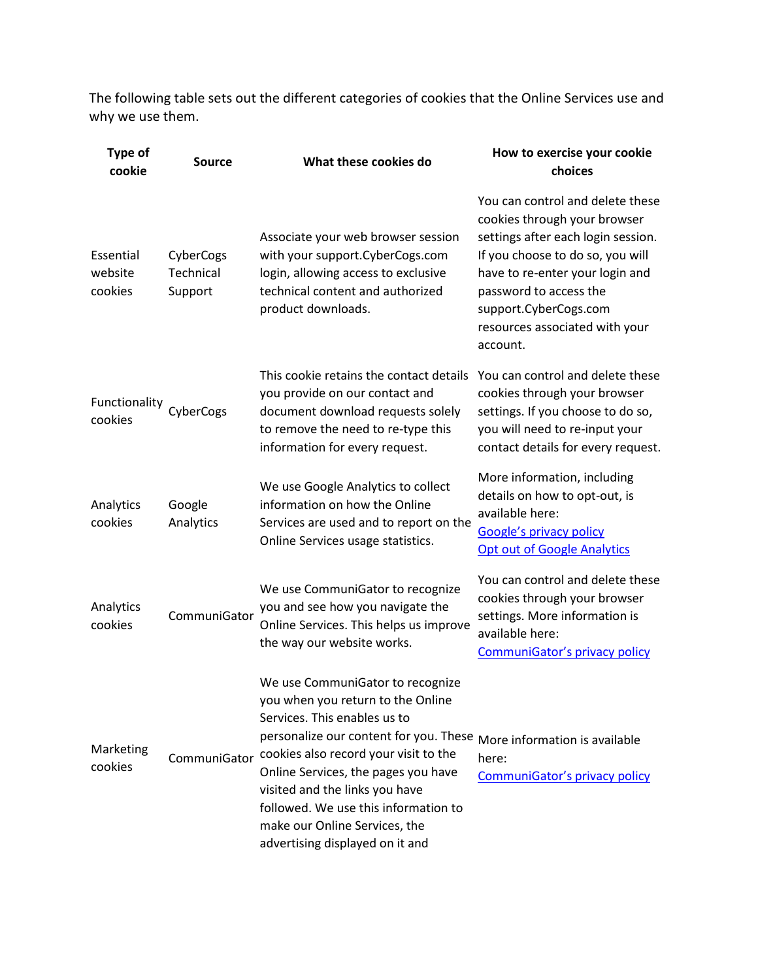The following table sets out the different categories of cookies that the Online Services use and why we use them.

| <b>Type of</b><br>cookie        | <b>Source</b>                     | What these cookies do                                                                                                                                                                                                                                                                                                                                                         | How to exercise your cookie<br>choices                                                                                                                                                                                                                                         |
|---------------------------------|-----------------------------------|-------------------------------------------------------------------------------------------------------------------------------------------------------------------------------------------------------------------------------------------------------------------------------------------------------------------------------------------------------------------------------|--------------------------------------------------------------------------------------------------------------------------------------------------------------------------------------------------------------------------------------------------------------------------------|
| Essential<br>website<br>cookies | CyberCogs<br>Technical<br>Support | Associate your web browser session<br>with your support.CyberCogs.com<br>login, allowing access to exclusive<br>technical content and authorized<br>product downloads.                                                                                                                                                                                                        | You can control and delete these<br>cookies through your browser<br>settings after each login session.<br>If you choose to do so, you will<br>have to re-enter your login and<br>password to access the<br>support.CyberCogs.com<br>resources associated with your<br>account. |
| Functionality<br>cookies        | CyberCogs                         | This cookie retains the contact details<br>you provide on our contact and<br>document download requests solely<br>to remove the need to re-type this<br>information for every request.                                                                                                                                                                                        | You can control and delete these<br>cookies through your browser<br>settings. If you choose to do so,<br>you will need to re-input your<br>contact details for every request.                                                                                                  |
| Analytics<br>cookies            | Google<br>Analytics               | We use Google Analytics to collect<br>information on how the Online<br>Services are used and to report on the<br>Online Services usage statistics.                                                                                                                                                                                                                            | More information, including<br>details on how to opt-out, is<br>available here:<br><b>Google's privacy policy</b><br><b>Opt out of Google Analytics</b>                                                                                                                        |
| Analytics<br>cookies            | CommuniGator                      | We use CommuniGator to recognize<br>you and see how you navigate the<br>Online Services. This helps us improve<br>the way our website works.                                                                                                                                                                                                                                  | You can control and delete these<br>cookies through your browser<br>settings. More information is<br>available here:<br>CommuniGator's privacy policy                                                                                                                          |
| Marketing<br>cookies            | CommuniGator                      | We use CommuniGator to recognize<br>you when you return to the Online<br>Services. This enables us to<br>personalize our content for you. These<br>cookies also record your visit to the<br>Online Services, the pages you have<br>visited and the links you have<br>followed. We use this information to<br>make our Online Services, the<br>advertising displayed on it and | More information is available<br>here:<br>CommuniGator's privacy policy                                                                                                                                                                                                        |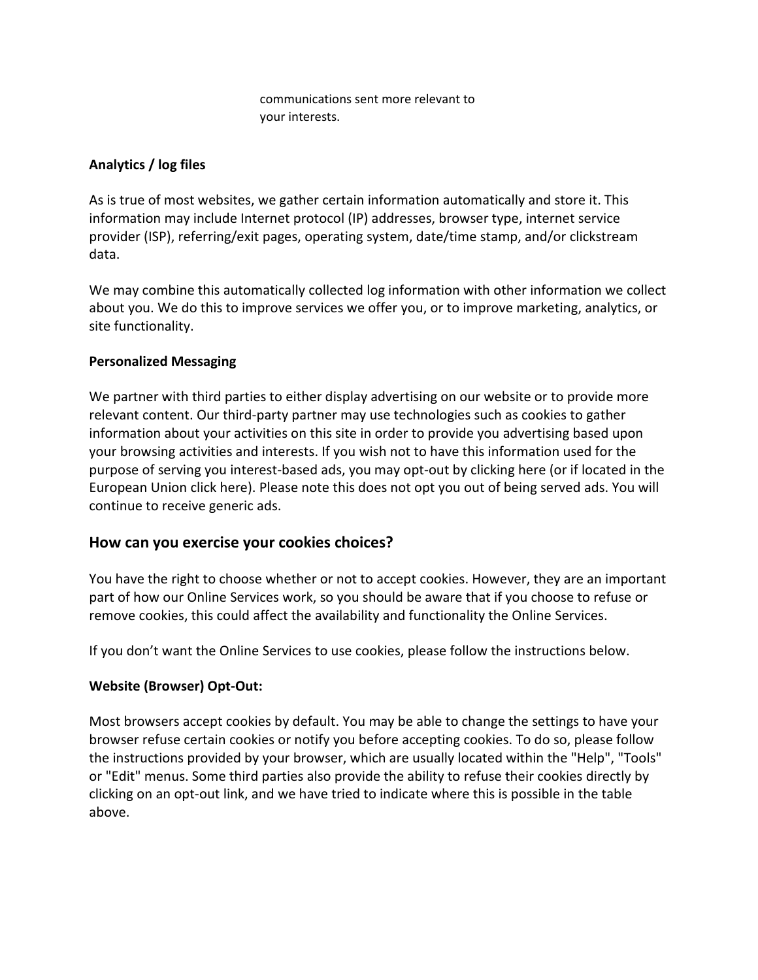communications sent more relevant to your interests.

### **Analytics / log files**

As is true of most websites, we gather certain information automatically and store it. This information may include Internet protocol (IP) addresses, browser type, internet service provider (ISP), referring/exit pages, operating system, date/time stamp, and/or clickstream data.

We may combine this automatically collected log information with other information we collect about you. We do this to improve services we offer you, or to improve marketing, analytics, or site functionality.

#### **Personalized Messaging**

We partner with third parties to either display advertising on our website or to provide more relevant content. Our third-party partner may use technologies such as cookies to gather information about your activities on this site in order to provide you advertising based upon your browsing activities and interests. If you wish not to have this information used for the purpose of serving you interest-based ads, you may opt-out by clicking here (or if located in the European Union click here). Please note this does not opt you out of being served ads. You will continue to receive generic ads.

## **How can you exercise your cookies choices?**

You have the right to choose whether or not to accept cookies. However, they are an important part of how our Online Services work, so you should be aware that if you choose to refuse or remove cookies, this could affect the availability and functionality the Online Services.

If you don't want the Online Services to use cookies, please follow the instructions below.

## **Website (Browser) Opt-Out:**

Most browsers accept cookies by default. You may be able to change the settings to have your browser refuse certain cookies or notify you before accepting cookies. To do so, please follow the instructions provided by your browser, which are usually located within the "Help", "Tools" or "Edit" menus. Some third parties also provide the ability to refuse their cookies directly by clicking on an opt-out link, and we have tried to indicate where this is possible in the table above.